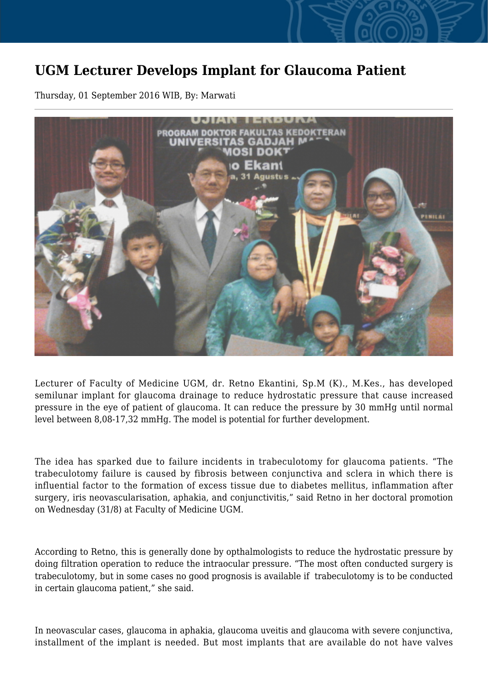## **UGM Lecturer Develops Implant for Glaucoma Patient**

Thursday, 01 September 2016 WIB, By: Marwati



Lecturer of Faculty of Medicine UGM, dr. Retno Ekantini, Sp.M (K)., M.Kes., has developed semilunar implant for glaucoma drainage to reduce hydrostatic pressure that cause increased pressure in the eye of patient of glaucoma. It can reduce the pressure by 30 mmHg until normal level between 8,08-17,32 mmHg. The model is potential for further development.

The idea has sparked due to failure incidents in trabeculotomy for glaucoma patients. "The trabeculotomy failure is caused by fibrosis between conjunctiva and sclera in which there is influential factor to the formation of excess tissue due to diabetes mellitus, inflammation after surgery, iris neovascularisation, aphakia, and conjunctivitis," said Retno in her doctoral promotion on Wednesday (31/8) at Faculty of Medicine UGM.

According to Retno, this is generally done by opthalmologists to reduce the hydrostatic pressure by doing filtration operation to reduce the intraocular pressure. "The most often conducted surgery is trabeculotomy, but in some cases no good prognosis is available if trabeculotomy is to be conducted in certain glaucoma patient," she said.

In neovascular cases, glaucoma in aphakia, glaucoma uveitis and glaucoma with severe conjunctiva, installment of the implant is needed. But most implants that are available do not have valves